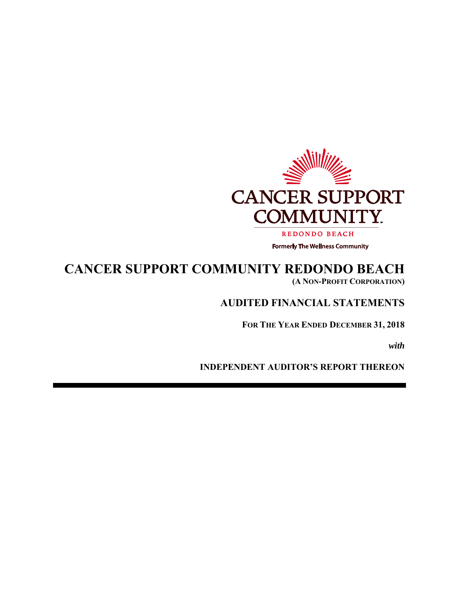

## **CANCER SUPPORT COMMUNITY REDONDO BEACH (A NON-PROFIT CORPORATION)**

## **AUDITED FINANCIAL STATEMENTS**

**FOR THE YEAR ENDED DECEMBER 31, 2018** 

*with* 

**INDEPENDENT AUDITOR'S REPORT THEREON**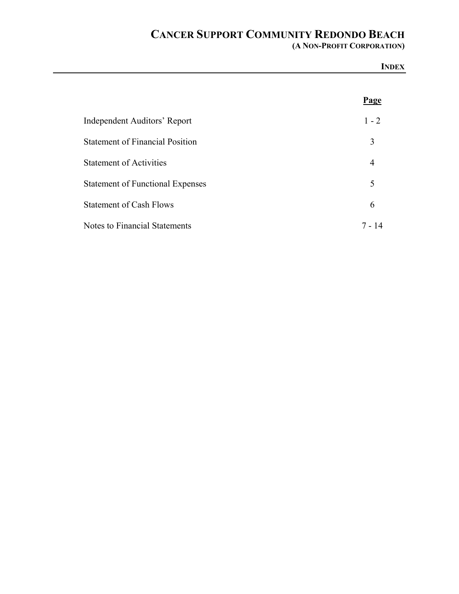**(A NON-PROFIT CORPORATION)**

|                                         | <b>INDEX</b>   |
|-----------------------------------------|----------------|
|                                         | <b>Page</b>    |
| Independent Auditors' Report            | $1 - 2$        |
| <b>Statement of Financial Position</b>  | 3              |
| <b>Statement of Activities</b>          | $\overline{4}$ |
| <b>Statement of Functional Expenses</b> | 5              |
| <b>Statement of Cash Flows</b>          | 6              |
| <b>Notes to Financial Statements</b>    | $7 - 14$       |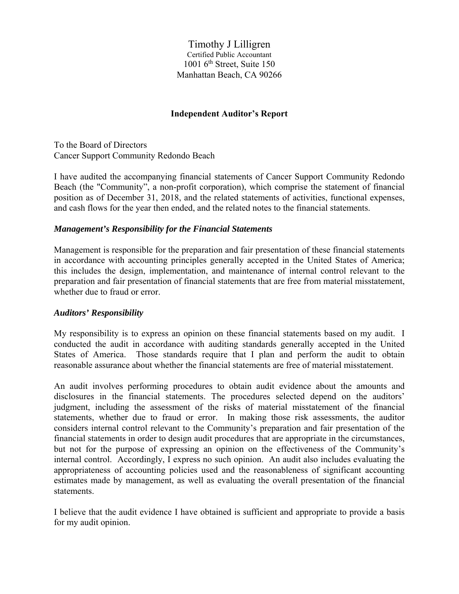Timothy J Lilligren Certified Public Accountant  $1001$  6<sup>th</sup> Street, Suite 150 Manhattan Beach, CA 90266

#### **Independent Auditor's Report**

To the Board of Directors Cancer Support Community Redondo Beach

I have audited the accompanying financial statements of Cancer Support Community Redondo Beach (the "Community", a non-profit corporation), which comprise the statement of financial position as of December 31, 2018, and the related statements of activities, functional expenses, and cash flows for the year then ended, and the related notes to the financial statements.

#### *Management's Responsibility for the Financial Statements*

Management is responsible for the preparation and fair presentation of these financial statements in accordance with accounting principles generally accepted in the United States of America; this includes the design, implementation, and maintenance of internal control relevant to the preparation and fair presentation of financial statements that are free from material misstatement, whether due to fraud or error.

#### *Auditors' Responsibility*

My responsibility is to express an opinion on these financial statements based on my audit. I conducted the audit in accordance with auditing standards generally accepted in the United States of America. Those standards require that I plan and perform the audit to obtain reasonable assurance about whether the financial statements are free of material misstatement.

An audit involves performing procedures to obtain audit evidence about the amounts and disclosures in the financial statements. The procedures selected depend on the auditors' judgment, including the assessment of the risks of material misstatement of the financial statements, whether due to fraud or error. In making those risk assessments, the auditor considers internal control relevant to the Community's preparation and fair presentation of the financial statements in order to design audit procedures that are appropriate in the circumstances, but not for the purpose of expressing an opinion on the effectiveness of the Community's internal control. Accordingly, I express no such opinion. An audit also includes evaluating the appropriateness of accounting policies used and the reasonableness of significant accounting estimates made by management, as well as evaluating the overall presentation of the financial statements.

I believe that the audit evidence I have obtained is sufficient and appropriate to provide a basis for my audit opinion.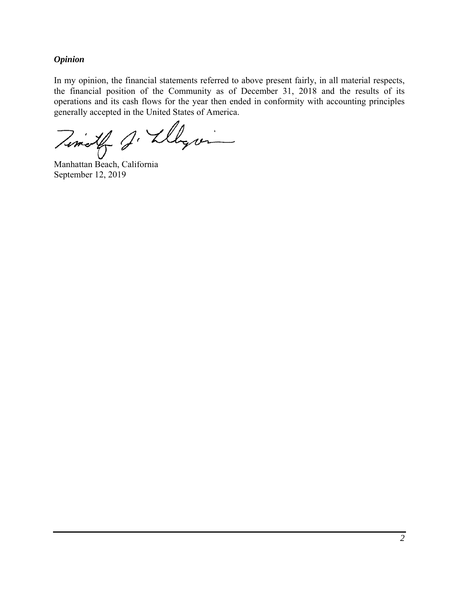#### *Opinion*

In my opinion, the financial statements referred to above present fairly, in all material respects, the financial position of the Community as of December 31, 2018 and the results of its operations and its cash flows for the year then ended in conformity with accounting principles generally accepted in the United States of America.

Timoth J. Llegin

Manhattan Beach, California September 12, 2019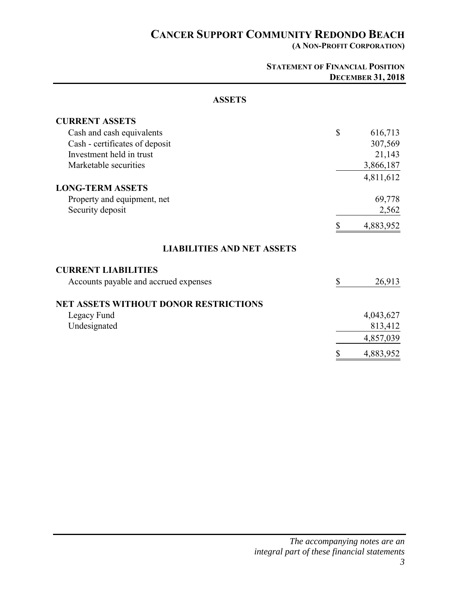**(A NON-PROFIT CORPORATION)** 

|                                              | <b>STATEMENT OF FINANCIAL POSITION</b> | <b>DECEMBER 31, 2018</b> |
|----------------------------------------------|----------------------------------------|--------------------------|
| <b>ASSETS</b>                                |                                        |                          |
| <b>CURRENT ASSETS</b>                        |                                        |                          |
| Cash and cash equivalents                    | \$                                     | 616,713                  |
| Cash - certificates of deposit               |                                        | 307,569                  |
| Investment held in trust                     |                                        | 21,143                   |
| Marketable securities                        |                                        | 3,866,187                |
|                                              |                                        | 4,811,612                |
| <b>LONG-TERM ASSETS</b>                      |                                        |                          |
| Property and equipment, net                  |                                        | 69,778                   |
| Security deposit                             |                                        | 2,562                    |
|                                              | \$                                     | 4,883,952                |
| <b>LIABILITIES AND NET ASSETS</b>            |                                        |                          |
| <b>CURRENT LIABILITIES</b>                   |                                        |                          |
| Accounts payable and accrued expenses        | \$                                     | 26,913                   |
| <b>NET ASSETS WITHOUT DONOR RESTRICTIONS</b> |                                        |                          |
| Legacy Fund                                  |                                        | 4,043,627                |
| Undesignated                                 |                                        | 813,412                  |
|                                              |                                        | 4,857,039                |
|                                              | \$                                     | 4,883,952                |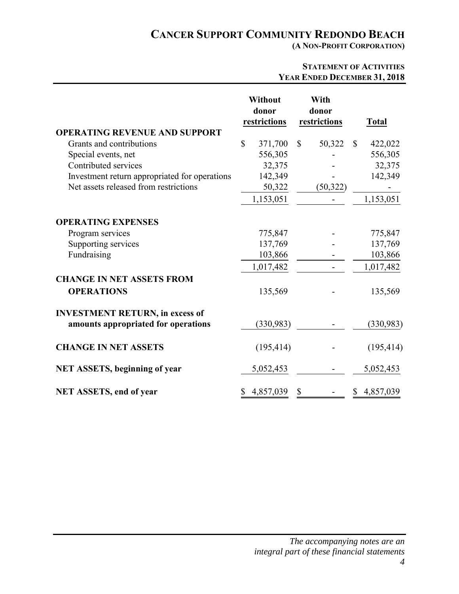**(A NON-PROFIT CORPORATION)** 

|                                                                                     | <b>STATEMENT OF ACTIVITIES</b><br>YEAR ENDED DECEMBER 31, 2018 |                                            |                               |           |              |                                            |
|-------------------------------------------------------------------------------------|----------------------------------------------------------------|--------------------------------------------|-------------------------------|-----------|--------------|--------------------------------------------|
| <b>OPERATING REVENUE AND SUPPORT</b>                                                | Without<br>donor<br>restrictions                               |                                            | With<br>donor<br>restrictions |           |              | <b>Total</b>                               |
| Grants and contributions                                                            | \$                                                             | 371,700                                    | $\mathbb{S}$                  | 50,322    | $\mathbb{S}$ | 422,022                                    |
| Special events, net                                                                 |                                                                | 556,305                                    |                               |           |              | 556,305                                    |
| Contributed services                                                                |                                                                | 32,375                                     |                               |           |              | 32,375                                     |
| Investment return appropriated for operations                                       |                                                                | 142,349                                    |                               |           |              | 142,349                                    |
| Net assets released from restrictions                                               |                                                                | 50,322                                     |                               | (50, 322) |              |                                            |
|                                                                                     |                                                                | 1,153,051                                  |                               |           |              | 1,153,051                                  |
| <b>OPERATING EXPENSES</b><br>Program services<br>Supporting services<br>Fundraising |                                                                | 775,847<br>137,769<br>103,866<br>1,017,482 |                               |           |              | 775,847<br>137,769<br>103,866<br>1,017,482 |
| <b>CHANGE IN NET ASSETS FROM</b>                                                    |                                                                |                                            |                               |           |              |                                            |
| <b>OPERATIONS</b>                                                                   |                                                                | 135,569                                    |                               |           |              | 135,569                                    |
| <b>INVESTMENT RETURN, in excess of</b><br>amounts appropriated for operations       |                                                                | (330,983)                                  |                               |           |              | (330, 983)                                 |
| <b>CHANGE IN NET ASSETS</b>                                                         |                                                                | (195, 414)                                 |                               |           |              | (195, 414)                                 |
| <b>NET ASSETS, beginning of year</b>                                                |                                                                | 5,052,453                                  |                               |           |              | 5,052,453                                  |
| <b>NET ASSETS, end of year</b>                                                      |                                                                | 4,857,039                                  | \$                            |           |              | 4,857,039                                  |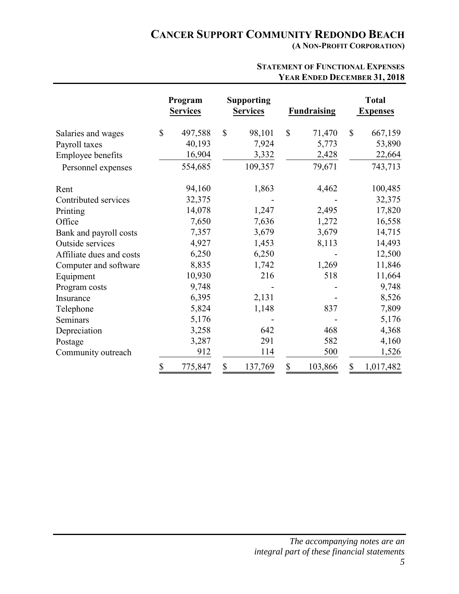**(A NON-PROFIT CORPORATION)** 

|                          |              | Program<br><b>Services</b> |              | <b>Supporting</b><br><b>Services</b> |              | <b>Fundraising</b> |              | <b>Total</b><br><b>Expenses</b> |
|--------------------------|--------------|----------------------------|--------------|--------------------------------------|--------------|--------------------|--------------|---------------------------------|
| Salaries and wages       | $\mathbb{S}$ | 497,588                    | $\mathbb{S}$ | 98,101                               | $\mathbb{S}$ | 71,470             | $\mathbb{S}$ | 667,159                         |
| Payroll taxes            |              | 40,193                     |              | 7,924                                |              | 5,773              |              | 53,890                          |
| Employee benefits        |              | 16,904                     |              | 3,332                                |              | 2,428              |              | 22,664                          |
| Personnel expenses       |              | 554,685                    |              | 109,357                              |              | 79,671             |              | 743,713                         |
| Rent                     |              | 94,160                     |              | 1,863                                |              | 4,462              |              | 100,485                         |
| Contributed services     |              | 32,375                     |              |                                      |              |                    |              | 32,375                          |
| Printing                 |              | 14,078                     |              | 1,247                                |              | 2,495              |              | 17,820                          |
| Office                   |              | 7,650                      |              | 7,636                                |              | 1,272              |              | 16,558                          |
| Bank and payroll costs   |              | 7,357                      |              | 3,679                                |              | 3,679              |              | 14,715                          |
| Outside services         |              | 4,927                      |              | 1,453                                |              | 8,113              |              | 14,493                          |
| Affiliate dues and costs |              | 6,250                      |              | 6,250                                |              |                    |              | 12,500                          |
| Computer and software    |              | 8,835                      |              | 1,742                                |              | 1,269              |              | 11,846                          |
| Equipment                |              | 10,930                     |              | 216                                  |              | 518                |              | 11,664                          |
| Program costs            |              | 9,748                      |              |                                      |              |                    |              | 9,748                           |
| Insurance                |              | 6,395                      |              | 2,131                                |              |                    |              | 8,526                           |
| Telephone                |              | 5,824                      |              | 1,148                                |              | 837                |              | 7,809                           |
| Seminars                 |              | 5,176                      |              |                                      |              |                    |              | 5,176                           |
| Depreciation             |              | 3,258                      |              | 642                                  |              | 468                |              | 4,368                           |
| Postage                  |              | 3,287                      |              | 291                                  |              | 582                |              | 4,160                           |
| Community outreach       |              | 912                        |              | 114                                  |              | 500                |              | 1,526                           |
|                          | \$           | 775,847                    | \$           | 137,769                              | \$           | 103,866            | \$           | 1,017,482                       |

#### **STATEMENT OF FUNCTIONAL EXPENSES YEAR ENDED DECEMBER 31, 2018**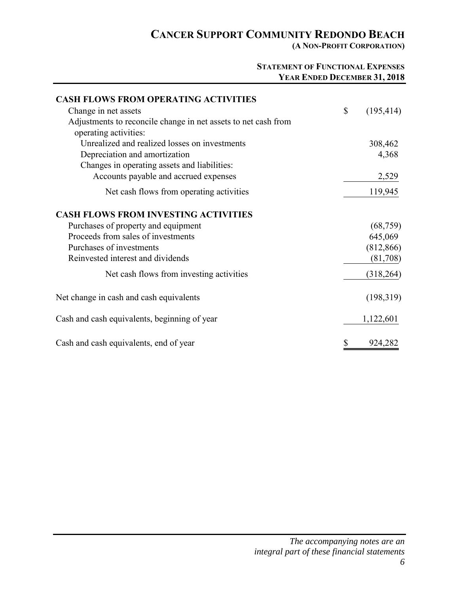**(A NON-PROFIT CORPORATION)** 

#### **STATEMENT OF FUNCTIONAL EXPENSES YEAR ENDED DECEMBER 31, 2018**

| <b>CASH FLOWS FROM OPERATING ACTIVITIES</b>                    |                  |
|----------------------------------------------------------------|------------------|
| Change in net assets                                           | \$<br>(195, 414) |
| Adjustments to reconcile change in net assets to net cash from |                  |
| operating activities:                                          |                  |
| Unrealized and realized losses on investments                  | 308,462          |
| Depreciation and amortization                                  | 4,368            |
| Changes in operating assets and liabilities:                   |                  |
| Accounts payable and accrued expenses                          | 2,529            |
| Net cash flows from operating activities                       | 119,945          |
| <b>CASH FLOWS FROM INVESTING ACTIVITIES</b>                    |                  |
| Purchases of property and equipment                            | (68, 759)        |
| Proceeds from sales of investments                             | 645,069          |
| Purchases of investments                                       | (812, 866)       |
| Reinvested interest and dividends                              | (81,708)         |
| Net cash flows from investing activities                       | (318, 264)       |
| Net change in cash and cash equivalents                        | (198,319)        |
| Cash and cash equivalents, beginning of year                   | 1,122,601        |
| Cash and cash equivalents, end of year                         | 924,282          |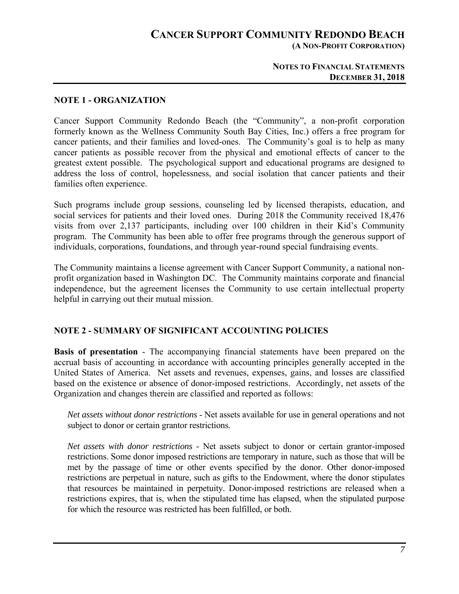### **CANCER SUPPORT COMMUNITY REDONDO BEACH (A NON-PROFIT CORPORATION)**

#### **NOTES TO FINANCIAL STATEMENTS DECEMBER 31, 2018**

#### **NOTE 1 - ORGANIZATION**

Cancer Support Community Redondo Beach (the "Community", a non-profit corporation formerly known as the Wellness Community South Bay Cities, Inc.) offers a free program for cancer patients, and their families and loved-ones. The Community's goal is to help as many cancer patients as possible recover from the physical and emotional effects of cancer to the greatest extent possible. The psychological support and educational programs are designed to address the loss of control, hopelessness, and social isolation that cancer patients and their families often experience.

Such programs include group sessions, counseling led by licensed therapists, education, and social services for patients and their loved ones. During 2018 the Community received 18,476 visits from over 2,137 participants, including over 100 children in their Kid's Community program. The Community has been able to offer free programs through the generous support of individuals, corporations, foundations, and through year-round special fundraising events.

The Community maintains a license agreement with Cancer Support Community, a national nonprofit organization based in Washington DC. The Community maintains corporate and financial independence, but the agreement licenses the Community to use certain intellectual property helpful in carrying out their mutual mission.

#### **NOTE 2 - SUMMARY OF SIGNIFICANT ACCOUNTING POLICIES**

**Basis of presentation** - The accompanying financial statements have been prepared on the accrual basis of accounting in accordance with accounting principles generally accepted in the United States of America. Net assets and revenues, expenses, gains, and losses are classified based on the existence or absence of donor-imposed restrictions. Accordingly, net assets of the Organization and changes therein are classified and reported as follows:

*Net assets without donor restrictions* - Net assets available for use in general operations and not subject to donor or certain grantor restrictions.

*Net assets with donor restrictions -* Net assets subject to donor or certain grantor-imposed restrictions. Some donor imposed restrictions are temporary in nature, such as those that will be met by the passage of time or other events specified by the donor. Other donor-imposed restrictions are perpetual in nature, such as gifts to the Endowment, where the donor stipulates that resources be maintained in perpetuity. Donor-imposed restrictions are released when a restrictions expires, that is, when the stipulated time has elapsed, when the stipulated purpose for which the resource was restricted has been fulfilled, or both.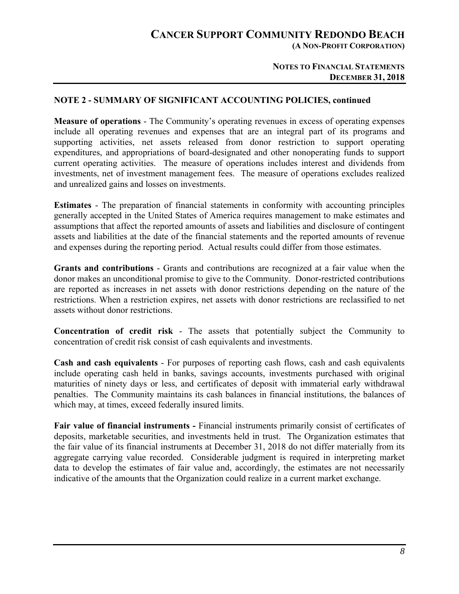**(A NON-PROFIT CORPORATION)** 

#### **NOTES TO FINANCIAL STATEMENTS DECEMBER 31, 2018**

#### **NOTE 2 - SUMMARY OF SIGNIFICANT ACCOUNTING POLICIES, continued**

**Measure of operations** - The Community's operating revenues in excess of operating expenses include all operating revenues and expenses that are an integral part of its programs and supporting activities, net assets released from donor restriction to support operating expenditures, and appropriations of board-designated and other nonoperating funds to support current operating activities. The measure of operations includes interest and dividends from investments, net of investment management fees. The measure of operations excludes realized and unrealized gains and losses on investments.

**Estimates** - The preparation of financial statements in conformity with accounting principles generally accepted in the United States of America requires management to make estimates and assumptions that affect the reported amounts of assets and liabilities and disclosure of contingent assets and liabilities at the date of the financial statements and the reported amounts of revenue and expenses during the reporting period. Actual results could differ from those estimates.

**Grants and contributions** - Grants and contributions are recognized at a fair value when the donor makes an unconditional promise to give to the Community. Donor-restricted contributions are reported as increases in net assets with donor restrictions depending on the nature of the restrictions. When a restriction expires, net assets with donor restrictions are reclassified to net assets without donor restrictions.

**Concentration of credit risk** - The assets that potentially subject the Community to concentration of credit risk consist of cash equivalents and investments.

**Cash and cash equivalents** - For purposes of reporting cash flows, cash and cash equivalents include operating cash held in banks, savings accounts, investments purchased with original maturities of ninety days or less, and certificates of deposit with immaterial early withdrawal penalties. The Community maintains its cash balances in financial institutions, the balances of which may, at times, exceed federally insured limits.

**Fair value of financial instruments -** Financial instruments primarily consist of certificates of deposits, marketable securities, and investments held in trust. The Organization estimates that the fair value of its financial instruments at December 31, 2018 do not differ materially from its aggregate carrying value recorded. Considerable judgment is required in interpreting market data to develop the estimates of fair value and, accordingly, the estimates are not necessarily indicative of the amounts that the Organization could realize in a current market exchange.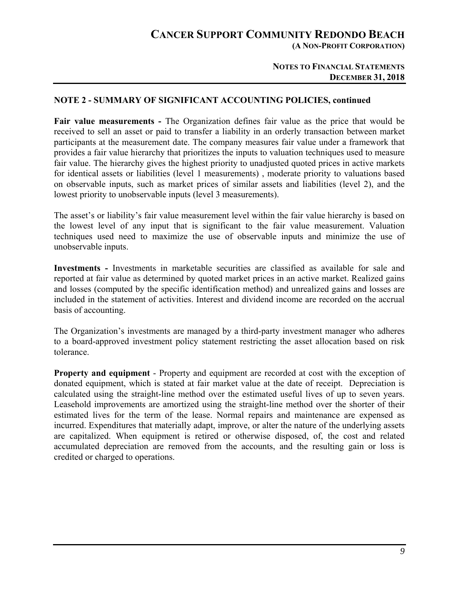**(A NON-PROFIT CORPORATION)** 

#### **NOTES TO FINANCIAL STATEMENTS DECEMBER 31, 2018**

#### **NOTE 2 - SUMMARY OF SIGNIFICANT ACCOUNTING POLICIES, continued**

**Fair value measurements -** The Organization defines fair value as the price that would be received to sell an asset or paid to transfer a liability in an orderly transaction between market participants at the measurement date. The company measures fair value under a framework that provides a fair value hierarchy that prioritizes the inputs to valuation techniques used to measure fair value. The hierarchy gives the highest priority to unadjusted quoted prices in active markets for identical assets or liabilities (level 1 measurements) , moderate priority to valuations based on observable inputs, such as market prices of similar assets and liabilities (level 2), and the lowest priority to unobservable inputs (level 3 measurements).

The asset's or liability's fair value measurement level within the fair value hierarchy is based on the lowest level of any input that is significant to the fair value measurement. Valuation techniques used need to maximize the use of observable inputs and minimize the use of unobservable inputs.

**Investments -** Investments in marketable securities are classified as available for sale and reported at fair value as determined by quoted market prices in an active market. Realized gains and losses (computed by the specific identification method) and unrealized gains and losses are included in the statement of activities. Interest and dividend income are recorded on the accrual basis of accounting.

The Organization's investments are managed by a third-party investment manager who adheres to a board-approved investment policy statement restricting the asset allocation based on risk tolerance.

**Property and equipment** - Property and equipment are recorded at cost with the exception of donated equipment, which is stated at fair market value at the date of receipt. Depreciation is calculated using the straight-line method over the estimated useful lives of up to seven years. Leasehold improvements are amortized using the straight-line method over the shorter of their estimated lives for the term of the lease. Normal repairs and maintenance are expensed as incurred. Expenditures that materially adapt, improve, or alter the nature of the underlying assets are capitalized. When equipment is retired or otherwise disposed, of, the cost and related accumulated depreciation are removed from the accounts, and the resulting gain or loss is credited or charged to operations.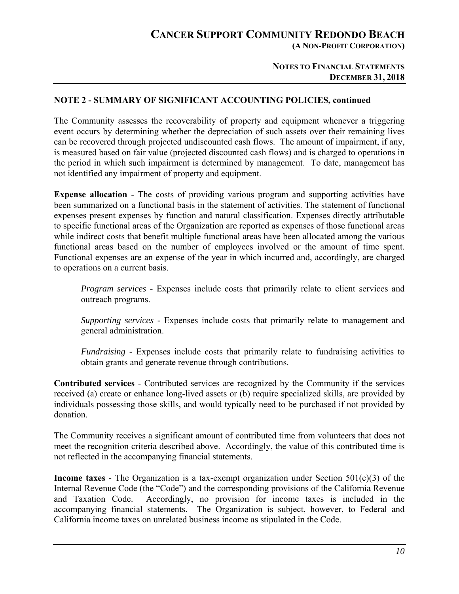**(A NON-PROFIT CORPORATION)** 

#### **NOTES TO FINANCIAL STATEMENTS DECEMBER 31, 2018**

#### **NOTE 2 - SUMMARY OF SIGNIFICANT ACCOUNTING POLICIES, continued**

The Community assesses the recoverability of property and equipment whenever a triggering event occurs by determining whether the depreciation of such assets over their remaining lives can be recovered through projected undiscounted cash flows. The amount of impairment, if any, is measured based on fair value (projected discounted cash flows) and is charged to operations in the period in which such impairment is determined by management. To date, management has not identified any impairment of property and equipment.

**Expense allocation** - The costs of providing various program and supporting activities have been summarized on a functional basis in the statement of activities. The statement of functional expenses present expenses by function and natural classification. Expenses directly attributable to specific functional areas of the Organization are reported as expenses of those functional areas while indirect costs that benefit multiple functional areas have been allocated among the various functional areas based on the number of employees involved or the amount of time spent. Functional expenses are an expense of the year in which incurred and, accordingly, are charged to operations on a current basis.

*Program services - Expenses include costs that primarily relate to client services and* outreach programs.

*Supporting services -* Expenses include costs that primarily relate to management and general administration.

*Fundraising -* Expenses include costs that primarily relate to fundraising activities to obtain grants and generate revenue through contributions.

**Contributed services** - Contributed services are recognized by the Community if the services received (a) create or enhance long-lived assets or (b) require specialized skills, are provided by individuals possessing those skills, and would typically need to be purchased if not provided by donation.

The Community receives a significant amount of contributed time from volunteers that does not meet the recognition criteria described above. Accordingly, the value of this contributed time is not reflected in the accompanying financial statements.

**Income taxes** - The Organization is a tax-exempt organization under Section 501(c)(3) of the Internal Revenue Code (the "Code") and the corresponding provisions of the California Revenue and Taxation Code. Accordingly, no provision for income taxes is included in the accompanying financial statements. The Organization is subject, however, to Federal and California income taxes on unrelated business income as stipulated in the Code.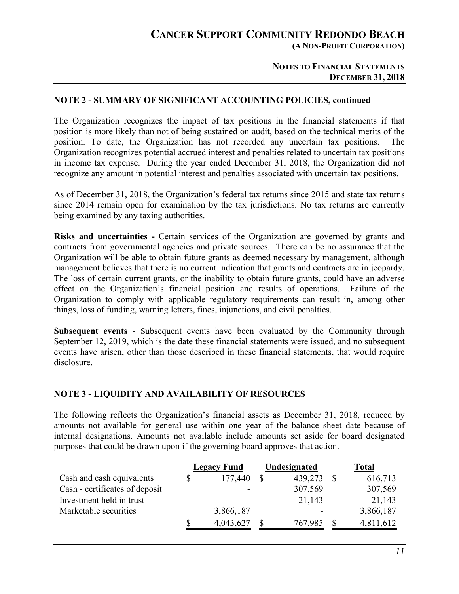**(A NON-PROFIT CORPORATION)** 

#### **NOTES TO FINANCIAL STATEMENTS DECEMBER 31, 2018**

#### **NOTE 2 - SUMMARY OF SIGNIFICANT ACCOUNTING POLICIES, continued**

The Organization recognizes the impact of tax positions in the financial statements if that position is more likely than not of being sustained on audit, based on the technical merits of the position. To date, the Organization has not recorded any uncertain tax positions. The Organization recognizes potential accrued interest and penalties related to uncertain tax positions in income tax expense. During the year ended December 31, 2018, the Organization did not recognize any amount in potential interest and penalties associated with uncertain tax positions.

As of December 31, 2018, the Organization's federal tax returns since 2015 and state tax returns since 2014 remain open for examination by the tax jurisdictions. No tax returns are currently being examined by any taxing authorities.

**Risks and uncertainties -** Certain services of the Organization are governed by grants and contracts from governmental agencies and private sources. There can be no assurance that the Organization will be able to obtain future grants as deemed necessary by management, although management believes that there is no current indication that grants and contracts are in jeopardy. The loss of certain current grants, or the inability to obtain future grants, could have an adverse effect on the Organization's financial position and results of operations. Failure of the Organization to comply with applicable regulatory requirements can result in, among other things, loss of funding, warning letters, fines, injunctions, and civil penalties.

**Subsequent events** - Subsequent events have been evaluated by the Community through September 12, 2019, which is the date these financial statements were issued, and no subsequent events have arisen, other than those described in these financial statements, that would require disclosure.

#### **NOTE 3 - LIQUIDITY AND AVAILABILITY OF RESOURCES**

The following reflects the Organization's financial assets as December 31, 2018, reduced by amounts not available for general use within one year of the balance sheet date because of internal designations. Amounts not available include amounts set aside for board designated purposes that could be drawn upon if the governing board approves that action.

|                                | <b>Legacy Fund</b> | Undesignated | <b>Total</b> |
|--------------------------------|--------------------|--------------|--------------|
| Cash and cash equivalents      | 177,440            | 439,273      | 616,713      |
| Cash - certificates of deposit |                    | 307,569      | 307,569      |
| Investment held in trust       |                    | 21,143       | 21,143       |
| Marketable securities          | 3,866,187          |              | 3,866,187    |
|                                | 4,043,627          | 767,985      | 4,811,612    |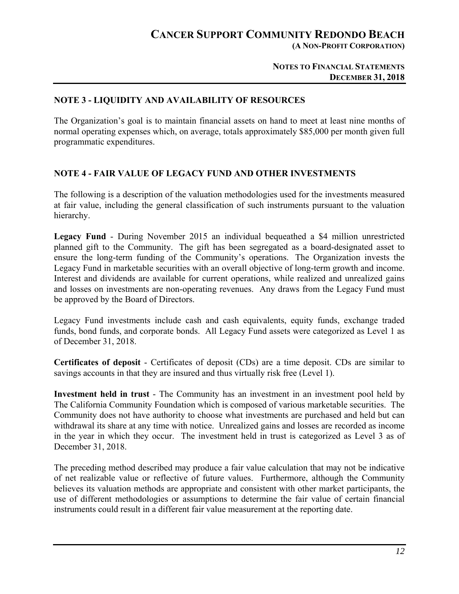**(A NON-PROFIT CORPORATION)** 

#### **NOTES TO FINANCIAL STATEMENTS DECEMBER 31, 2018**

#### **NOTE 3 - LIQUIDITY AND AVAILABILITY OF RESOURCES**

The Organization's goal is to maintain financial assets on hand to meet at least nine months of normal operating expenses which, on average, totals approximately \$85,000 per month given full programmatic expenditures.

#### **NOTE 4 - FAIR VALUE OF LEGACY FUND AND OTHER INVESTMENTS**

The following is a description of the valuation methodologies used for the investments measured at fair value, including the general classification of such instruments pursuant to the valuation hierarchy.

**Legacy Fund** - During November 2015 an individual bequeathed a \$4 million unrestricted planned gift to the Community. The gift has been segregated as a board-designated asset to ensure the long-term funding of the Community's operations. The Organization invests the Legacy Fund in marketable securities with an overall objective of long-term growth and income. Interest and dividends are available for current operations, while realized and unrealized gains and losses on investments are non-operating revenues. Any draws from the Legacy Fund must be approved by the Board of Directors.

Legacy Fund investments include cash and cash equivalents, equity funds, exchange traded funds, bond funds, and corporate bonds. All Legacy Fund assets were categorized as Level 1 as of December 31, 2018.

**Certificates of deposit** - Certificates of deposit (CDs) are a time deposit. CDs are similar to savings accounts in that they are insured and thus virtually risk free (Level 1).

**Investment held in trust** - The Community has an investment in an investment pool held by The California Community Foundation which is composed of various marketable securities. The Community does not have authority to choose what investments are purchased and held but can withdrawal its share at any time with notice. Unrealized gains and losses are recorded as income in the year in which they occur. The investment held in trust is categorized as Level 3 as of December 31, 2018.

The preceding method described may produce a fair value calculation that may not be indicative of net realizable value or reflective of future values. Furthermore, although the Community believes its valuation methods are appropriate and consistent with other market participants, the use of different methodologies or assumptions to determine the fair value of certain financial instruments could result in a different fair value measurement at the reporting date.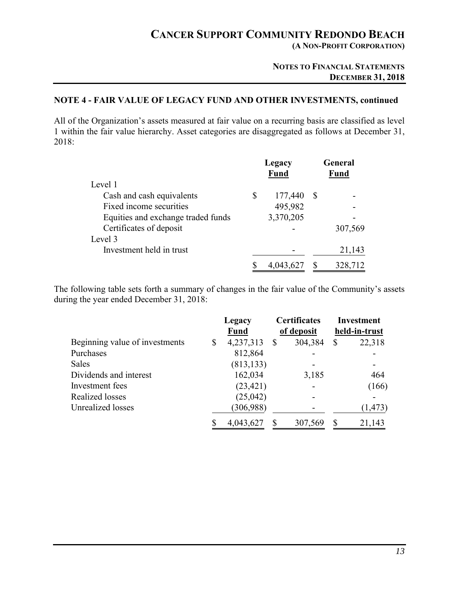**(A NON-PROFIT CORPORATION)** 

#### **NOTES TO FINANCIAL STATEMENTS DECEMBER 31, 2018**

### **NOTE 4 - FAIR VALUE OF LEGACY FUND AND OTHER INVESTMENTS, continued**

All of the Organization's assets measured at fair value on a recurring basis are classified as level 1 within the fair value hierarchy. Asset categories are disaggregated as follows at December 31, 2018:

|                                    | Legacy<br>Fund |    | General<br><b>Fund</b> |  |
|------------------------------------|----------------|----|------------------------|--|
| Level 1                            |                |    |                        |  |
| Cash and cash equivalents          | \$<br>177,440  | -S |                        |  |
| Fixed income securities            | 495,982        |    |                        |  |
| Equities and exchange traded funds | 3,370,205      |    |                        |  |
| Certificates of deposit            |                |    | 307,569                |  |
| Level 3                            |                |    |                        |  |
| Investment held in trust           |                |    | 21,143                 |  |
|                                    | 4,043,627      |    | 328,712                |  |

The following table sets forth a summary of changes in the fair value of the Community's assets during the year ended December 31, 2018:

|                                | Legacy |             | <b>Certificates</b> |         | <b>Investment</b> |          |
|--------------------------------|--------|-------------|---------------------|---------|-------------------|----------|
|                                |        | <b>Fund</b> | of deposit          |         | held-in-trust     |          |
| Beginning value of investments | \$     | 4,237,313   | <sup>S</sup>        | 304,384 | S                 | 22,318   |
| Purchases                      |        | 812,864     |                     |         |                   |          |
| <b>Sales</b>                   |        | (813, 133)  |                     |         |                   |          |
| Dividends and interest         |        | 162,034     |                     | 3,185   |                   | 464      |
| Investment fees                |        | (23, 421)   |                     |         |                   | (166)    |
| Realized losses                |        | (25,042)    |                     |         |                   |          |
| Unrealized losses              |        | (306, 988)  |                     |         |                   | (1, 473) |
|                                |        | 4,043,627   |                     | 307,569 |                   | 21,143   |